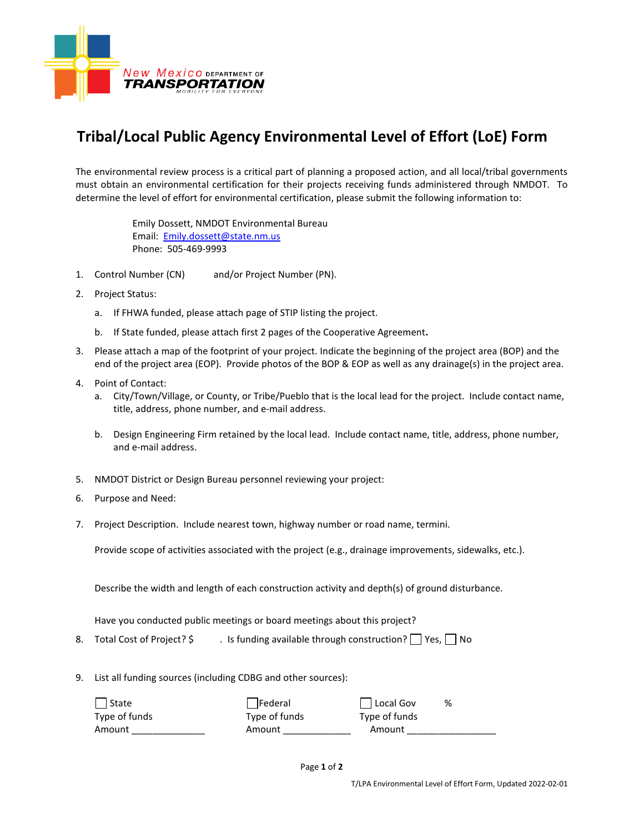

## **Tribal/Local Public Agency Environmental Level of Effort (LoE) Form**

The environmental review process is a critical part of planning a proposed action, and all local/tribal governments must obtain an environmental certification for their projects receiving funds administered through NMDOT. To determine the level of effort for environmental certification, please submit the following information to:

> Emily Dossett, NMDOT Environmental Bureau Email: [Emily.dossett@state.nm.us](mailto:Emily.dossett@state.nm.us) Phone: 505-469-9993

- 1. Control Number (CN) and/or Project Number (PN).
- 2. Project Status:
	- a. If FHWA funded, please attach page of STIP listing the project.
	- b. If State funded, please attach first 2 pages of the Cooperative Agreement**.**
- 3. Please attach a map of the footprint of your project. Indicate the beginning of the project area (BOP) and the end of the project area (EOP). Provide photos of the BOP & EOP as well as any drainage(s) in the project area.
- 4. Point of Contact:
	- a. City/Town/Village, or County, or Tribe/Pueblo that is the local lead for the project. Include contact name, title, address, phone number, and e-mail address.
	- b. Design Engineering Firm retained by the local lead. Include contact name, title, address, phone number, and e-mail address.
- 5. NMDOT District or Design Bureau personnel reviewing your project:
- 6. Purpose and Need:
- 7. Project Description. Include nearest town, highway number or road name, termini.

Provide scope of activities associated with the project (e.g., drainage improvements, sidewalks, etc.).

Describe the width and length of each construction activity and depth(s) of ground disturbance.

Have you conducted public meetings or board meetings about this project?

8. Total Cost of Project?  $\oint$  . Is funding available through construction?  $\Box$  Yes,  $\Box$  No

9. List all funding sources (including CDBG and other sources):

| State         | Federal       | $\Box$ Local Gov | % |
|---------------|---------------|------------------|---|
| Type of funds | Type of funds | Type of funds    |   |
| Amount        | Amount        | Amount           |   |
|               |               |                  |   |